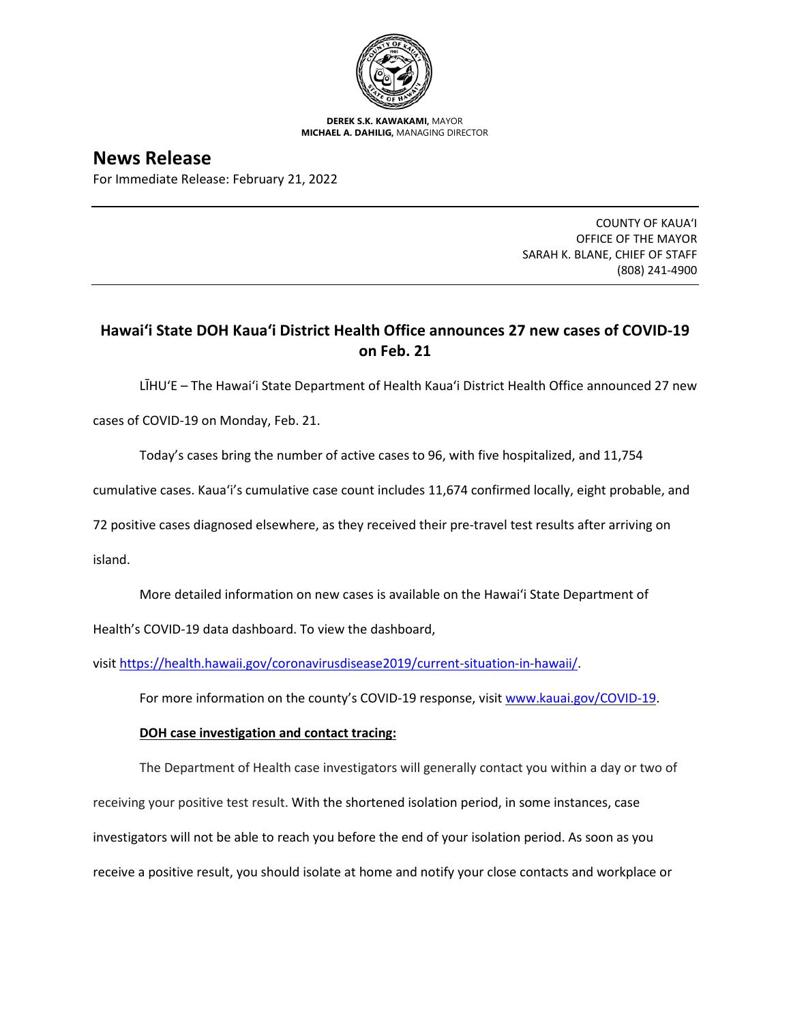

**DEREK S.K. KAWAKAMI,** MAYOR **MICHAEL A. DAHILIG,** MANAGING DIRECTOR

**News Release** For Immediate Release: February 21, 2022

> COUNTY OF KAUA'I OFFICE OF THE MAYOR SARAH K. BLANE, CHIEF OF STAFF (808) 241-4900

## **Hawai'i State DOH Kaua'i District Health Office announces 27 new cases of COVID-19 on Feb. 21**

LĪHU'E – The Hawai'i State Department of Health Kaua'i District Health Office announced 27 new

cases of COVID-19 on Monday, Feb. 21.

Today's cases bring the number of active cases to 96, with five hospitalized, and 11,754

cumulative cases. Kaua'i's cumulative case count includes 11,674 confirmed locally, eight probable, and

72 positive cases diagnosed elsewhere, as they received their pre-travel test results after arriving on

island.

More detailed information on new cases is available on the Hawai'i State Department of

Health's COVID-19 data dashboard. To view the dashboard,

visit [https://health.hawaii.gov/coronavirusdisease2019/current-situation-in-hawaii/.](https://health.hawaii.gov/coronavirusdisease2019/current-situation-in-hawaii/)

For more information on the county's COVID-19 response, visit [www.kauai.gov/COVID-19.](https://urldefense.com/v3/__http:/www.kauai.gov/COVID-19__;!!LIYSdFfckKA!l4A5nHuw73q2ubt1jVfVpBxrgAoeT-qm9LHA2X0eDo7DmU1d8EztTez1J2SRjWo05uCKvMiUtA$)

## **DOH case investigation and contact tracing:**

The Department of Health case investigators will generally contact you within a day or two of receiving your positive test result. With the shortened isolation period, in some instances, case investigators will not be able to reach you before the end of your isolation period. As soon as you receive a positive result, you should isolate at home and notify your close contacts and workplace or